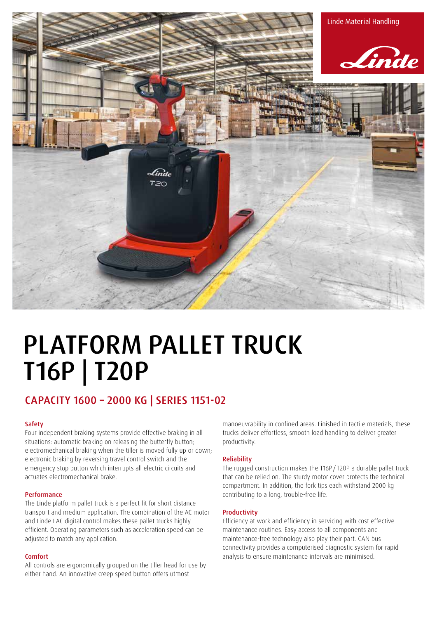

# PLATFORM PALLET TRUCK T16P | T20P

## CAPACITY 1600 – 2000 KG | SERIES 1151-02

## Safety

Four independent braking systems provide effective braking in all situations: automatic braking on releasing the butterfly button; electromechanical braking when the tiller is moved fully up or down; electronic braking by reversing travel control switch and the emergency stop button which interrupts all electric circuits and actuates electromechanical brake.

## Performance

The Linde platform pallet truck is a perfect fit for short distance transport and medium application. The combination of the AC motor and Linde LAC digital control makes these pallet trucks highly efficient. Operating parameters such as acceleration speed can be adjusted to match any application.

## Comfort

All controls are ergonomically grouped on the tiller head for use by either hand. An innovative creep speed button offers utmost

manoeuvrability in confined areas. Finished in tactile materials, these trucks deliver effortless, smooth load handling to deliver greater productivity.

## Reliability

The rugged construction makes the T16P/ T20P a durable pallet truck that can be relied on. The sturdy motor cover protects the technical compartment. In addition, the fork tips each withstand 2000 kg contributing to a long, trouble-free life.

### Productivity

Efficiency at work and efficiency in servicing with cost effective maintenance routines. Easy access to all components and maintenance-free technology also play their part. CAN bus connectivity provides a computerised diagnostic system for rapid analysis to ensure maintenance intervals are minimised.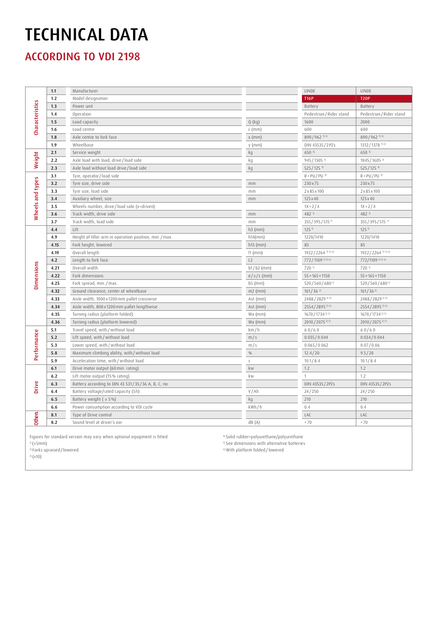## TECHNICAL DATA

ACCORDING TO VDI 2198

| <b>Characteristics</b> | 1.1  | Manufacturer                                          |               | LINDE                        | LINDE                         |
|------------------------|------|-------------------------------------------------------|---------------|------------------------------|-------------------------------|
|                        | 1.2  | Model designation                                     |               | <b>T16P</b>                  | <b>T20P</b>                   |
|                        | 1.3  | Power unit                                            |               | Battery                      | Battery                       |
|                        | 1.4  | Operation                                             |               | Pedestrian / Rider stand     | Pedestrian / Rider stand      |
|                        | 1.5  | Load capacity                                         | $Q$ (kg)      | 1600                         | 2000                          |
|                        | 1.6  | Load centre                                           | $c$ (mm)      | 600                          | 600                           |
|                        | 1.8  | Axle centre to fork face                              | $x$ (mm)      | 890/962 1) 2)                | 890/962 1) 2)                 |
|                        | 1.9  | Wheelbase                                             | $y$ (mm)      | DIN 43535/2PZs               | 1312 / 1378 1) 2)             |
| Weight                 | 2.1  | Service weight                                        | kg            | 650 3)                       | 650 3)                        |
|                        | 2.2  | Axle load with load, drive/load side                  | kg            | 945/1305 3)                  | 1045 / 1605 3)                |
|                        | 2.3  | Axle load without load drive / load side              | kg            | $525/125$ <sup>3)</sup>      | 525/125 3)                    |
| Wheels and types       | 3.1  | Tyre, operator/load side                              |               | $R + PU / PU$ <sup>4)</sup>  | $R + PU / PU$ <sup>4)</sup>   |
|                        | 3.2  | Tyre size, drive side                                 | mm            | 230 x 75                     | 230 x 75                      |
|                        | 3.3  | Tyre size, load side                                  | mm            | 2x85x100                     | 2x85x100                      |
|                        | 3.4  | Auxiliary wheel, size                                 | mm            | 125 x 40                     | 125 x 40                      |
|                        | 3.5  | Wheels number, drive/load side (x=driven)             |               | $1X + 2/4$                   | $1X + 2/4$                    |
|                        | 3.6  | Track width, drive side                               | $\rm mm$      | 482 1)                       | 482 <sup>1)</sup>             |
|                        | 3.7  | Track width, load side                                | $\rm mm$      | 355 / 395 / 515 1)           | 355/395/515 <sup>1)</sup>     |
| <b>Dimensions</b>      | 4.4  | Lift                                                  | $h3$ (mm)     | 125 <sup>1</sup>             | 125 <sup>1</sup>              |
|                        | 4.9  | Height of tiller arm in operation position, min./max. | h14(mm)       | 1220/1410                    | 1220/1410                     |
|                        | 4.15 | Fork height, lowered                                  | $h13$ (mm)    | 85                           | 85                            |
|                        | 4.19 | Overall length                                        | $11$ (mm)     | 1922 / 2264 1) 5) 6)         | 1922/2264 <sup>1) 5) 6)</sup> |
|                        | 4.2  | Length to fork face                                   | L2            | 772/1109 <sup>1) 5) 6)</sup> | 772/1109 1) 5) 6)             |
|                        | 4.21 | Overall width                                         | b1/b2 (mm)    | 720 1)                       | 720 1)                        |
|                        | 4.22 | Fork dimensions                                       | $e/s/L$ (mm)  | $55 \times 165 \times 1150$  | $55 \times 165 \times 1150$   |
|                        | 4.25 | Fork spread, min./max.                                | b5 (mm)       | 520/560/680 <sup>1)</sup>    | 520/560/680 <sup>1)</sup>     |
|                        | 4.32 | Ground clearance, center of wheelbase                 | $m2$ (mm)     | $161/36^{2}$                 | $161/36^{2}$                  |
|                        | 4.33 | Aisle width, 1000 x 1200 mm pallet crosswise          | Ast $(mm)$    | 2488 / 2829 5) 6)            | 2488 / 2829 5) 6)             |
|                        | 4.34 | Aisle width, 800 x 1200 mm pallet lengthwise          | Ast (mm)      | 2554 / 2895 5) 6)            | 2554/2895 5) 6)               |
|                        | 4.35 | Turning radius (platform folded)                      | Wa (mm)       | 1670 / 1734 2) 5)            | 1670 / 1734 2) 5)             |
|                        | 4.36 | Turning radius (platform lowered)                     | Wa (mm)       | 2010 / 2075 <sup>2) 5)</sup> | 2010 / 2075 2) 5)             |
| Performance            | 5.1  | Travel speed, with/without load                       | km/h          | 6.0/6.0                      | 6.0/6.0                       |
|                        | 5.2  | Lift speed, with/without load                         | m/s           | 0.035/0.044                  | 0.034/0.044                   |
|                        | 5.3  | Lower speed, with / without load                      | m/s           | 0.065/0.062                  | 0.07/0.06                     |
|                        | 5.8  | Maximum climbing ability, with/without load           | $\frac{0}{0}$ | 12.4/20                      | 9.5/20                        |
|                        | 5.9  | Acceleration time, with/without load                  | $\mathsf{S}$  | 10.1 / 8.4                   | 10.1 / 8.4                    |
| Drive                  | 6.1  | Drive motor output (60 min. rating)                   | kw            | 1.2                          | 1.2                           |
|                        | 6.2  | Lift motor output (15% rating)                        | kw            | $\mathbf{1}$                 | 1.2                           |
|                        | 6.3  | Battery according to DIN 43 531/35/36 A, B, C, no     |               | DIN 43535 / 2PZs             | DIN 43535 / 2PZs              |
|                        | 6.4  | Battery voltage/rated capacity (5h)                   | V/Ah          | 24/250                       | 24/250                        |
|                        | 6.5  | Battery weight $(±5%)$                                | kg            | 210                          | 210                           |
|                        | 6.6  | Power consumption according to VDI cycle              | kWh/h         | 0.4                          | 0.4                           |
| <b>Others</b>          | 8.1  | Type of Drive control                                 |               | LAC                          | LAC                           |
|                        | 8.2  | Sound level at driver's ear                           | dB(A)         | ~170                         | ~170                          |
|                        |      |                                                       |               |                              |                               |

Figures for standard version may vary when optional equipment is fitted

1) (±5mm)

2) Forks upraised / lowered

 $3)$  ( $\pm$ 10)

4) Solid rubber+polyurethane/polyurethane

5) See dimensions with alternative batteries

6) With platform folded / lowered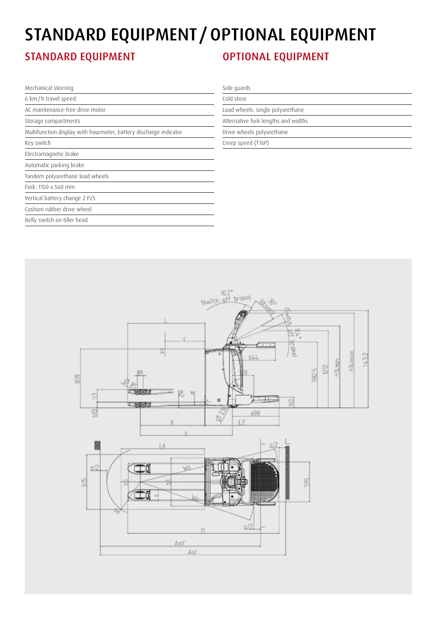## STANDARD EQUIPMENT / OPTIONAL EQUIPMENT

## STANDARD EQUIPMENT **CONTROLL CONTROLL CONTROLL EQUIPMENT**

| Mechanical steering                                               | Side quards                         |  |  |
|-------------------------------------------------------------------|-------------------------------------|--|--|
| 6 km/h travel speed                                               | Cold store                          |  |  |
| AC maintenance-free drive motor                                   | Load wheels: single polyurethane    |  |  |
| Storage compartments                                              | Alternative fork lengths and widths |  |  |
| Multifunction display with hourmeter, battery discharge indicator | Drive wheels polyurethane           |  |  |
| Key switch                                                        | Creep speed (T16P)                  |  |  |
| Electromagnetic brake                                             |                                     |  |  |
| Automatic parking brake                                           |                                     |  |  |
| Tandem polyurethane load wheels                                   |                                     |  |  |
| Fork: 1150 x 560 mm                                               |                                     |  |  |
| Vertical battery change 2 PzS                                     |                                     |  |  |
| Cushion rubber drive wheel                                        |                                     |  |  |
| Belly switch on tiller head                                       |                                     |  |  |